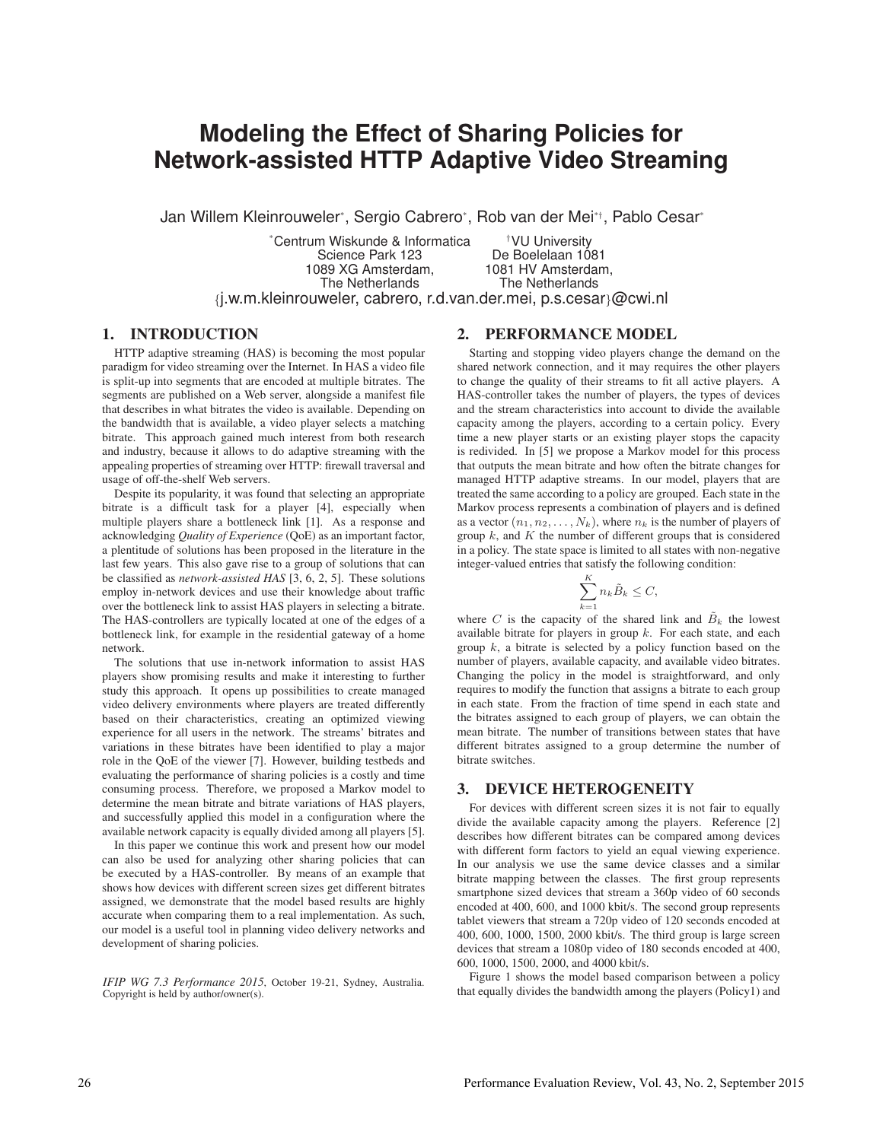# **Modeling the Effect of Sharing Policies for Network-assisted HTTP Adaptive Video Streaming**

Jan Willem Kleinrouweler\*, Sergio Cabrero\*, Rob van der Mei\*†, Pablo Cesar\*

\* Centrum Wiskunde & Informatica †VU University Science Park 123 De Boelelaan 1081 1089 XG Amsterdam, 1081 HV Amsterdam, The Netherlands The Netherlands {j.w.m.kleinrouweler, cabrero, r.d.van.der.mei, p.s.cesar}@cwi.nl

## 1. INTRODUCTION

HTTP adaptive streaming (HAS) is becoming the most popular paradigm for video streaming over the Internet. In HAS a video file is split-up into segments that are encoded at multiple bitrates. The segments are published on a Web server, alongside a manifest file that describes in what bitrates the video is available. Depending on the bandwidth that is available, a video player selects a matching bitrate. This approach gained much interest from both research and industry, because it allows to do adaptive streaming with the appealing properties of streaming over HTTP: firewall traversal and usage of off-the-shelf Web servers.

Despite its popularity, it was found that selecting an appropriate bitrate is a difficult task for a player [4], especially when multiple players share a bottleneck link [1]. As a response and acknowledging *Quality of Experience* (QoE) as an important factor, a plentitude of solutions has been proposed in the literature in the last few years. This also gave rise to a group of solutions that can be classified as *network-assisted HAS* [3, 6, 2, 5]. These solutions employ in-network devices and use their knowledge about traffic over the bottleneck link to assist HAS players in selecting a bitrate. The HAS-controllers are typically located at one of the edges of a bottleneck link, for example in the residential gateway of a home network.

The solutions that use in-network information to assist HAS players show promising results and make it interesting to further study this approach. It opens up possibilities to create managed video delivery environments where players are treated differently based on their characteristics, creating an optimized viewing experience for all users in the network. The streams' bitrates and variations in these bitrates have been identified to play a major role in the QoE of the viewer [7]. However, building testbeds and evaluating the performance of sharing policies is a costly and time consuming process. Therefore, we proposed a Markov model to determine the mean bitrate and bitrate variations of HAS players, and successfully applied this model in a configuration where the available network capacity is equally divided among all players [5].

In this paper we continue this work and present how our model can also be used for analyzing other sharing policies that can be executed by a HAS-controller. By means of an example that shows how devices with different screen sizes get different bitrates assigned, we demonstrate that the model based results are highly accurate when comparing them to a real implementation. As such, our model is a useful tool in planning video delivery networks and development of sharing policies.

*IFIP WG 7.3 Performance 2015*, October 19-21, Sydney, Australia. Copyright is held by author/owner(s).

# 2. PERFORMANCE MODEL

Starting and stopping video players change the demand on the shared network connection, and it may requires the other players to change the quality of their streams to fit all active players. A HAS-controller takes the number of players, the types of devices and the stream characteristics into account to divide the available capacity among the players, according to a certain policy. Every time a new player starts or an existing player stops the capacity is redivided. In [5] we propose a Markov model for this process that outputs the mean bitrate and how often the bitrate changes for managed HTTP adaptive streams. In our model, players that are treated the same according to a policy are grouped. Each state in the Markov process represents a combination of players and is defined as a vector  $(n_1, n_2, \ldots, N_k)$ , where  $n_k$  is the number of players of group  $k$ , and  $K$  the number of different groups that is considered in a policy. The state space is limited to all states with non-negative integer-valued entries that satisfy the following condition:

$$
\sum_{k=1}^{K} n_k \tilde{B}_k \le C,
$$

where C is the capacity of the shared link and  $\tilde{B}_k$  the lowest available bitrate for players in group  $k$ . For each state, and each group  $k$ , a bitrate is selected by a policy function based on the number of players, available capacity, and available video bitrates. Changing the policy in the model is straightforward, and only requires to modify the function that assigns a bitrate to each group in each state. From the fraction of time spend in each state and the bitrates assigned to each group of players, we can obtain the mean bitrate. The number of transitions between states that have different bitrates assigned to a group determine the number of bitrate switches.

#### 3. DEVICE HETEROGENEITY

For devices with different screen sizes it is not fair to equally divide the available capacity among the players. Reference [2] describes how different bitrates can be compared among devices with different form factors to yield an equal viewing experience. In our analysis we use the same device classes and a similar bitrate mapping between the classes. The first group represents smartphone sized devices that stream a 360p video of 60 seconds encoded at 400, 600, and 1000 kbit/s. The second group represents tablet viewers that stream a 720p video of 120 seconds encoded at 400, 600, 1000, 1500, 2000 kbit/s. The third group is large screen devices that stream a 1080p video of 180 seconds encoded at 400, 600, 1000, 1500, 2000, and 4000 kbit/s.

Figure 1 shows the model based comparison between a policy that equally divides the bandwidth among the players (Policy1) and